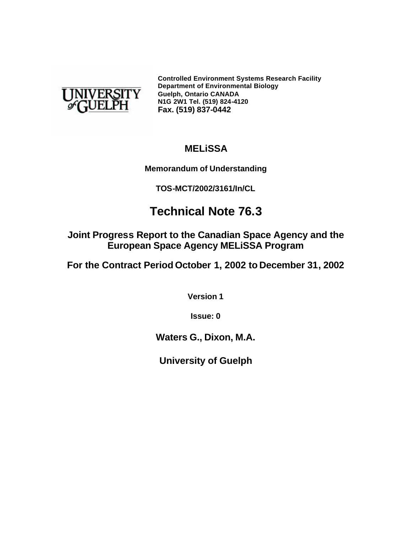

**Controlled Environment Systems Research Facility Department of Environmental Biology Guelph, Ontario CANADA N1G 2W1 Tel. (519) 824-4120 Fax. (519) 837-0442**

# **MELiSSA**

**Memorandum of Understanding**

**TOS-MCT/2002/3161/In/CL**

# **Technical Note 76.3**

**Joint Progress Report to the Canadian Space Agency and the European Space Agency MELiSSA Program**

**For the Contract Period October 1, 2002 to December 31, 2002**

**Version 1**

**Issue: 0**

**Waters G., Dixon, M.A.**

**University of Guelph**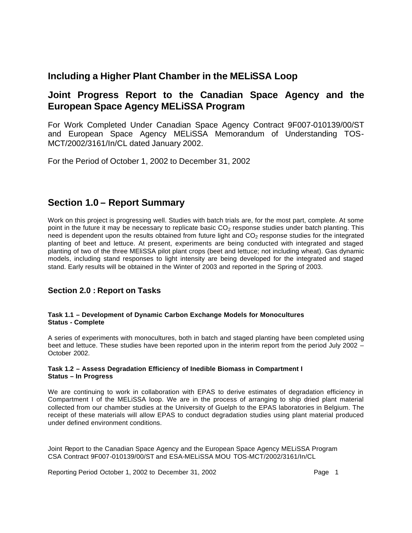# **Including a Higher Plant Chamber in the MELiSSA Loop**

# **Joint Progress Report to the Canadian Space Agency and the European Space Agency MELiSSA Program**

For Work Completed Under Canadian Space Agency Contract 9F007-010139/00/ST and European Space Agency MELiSSA Memorandum of Understanding TOS-MCT/2002/3161/In/CL dated January 2002.

For the Period of October 1, 2002 to December 31, 2002

# **Section 1.0 – Report Summary**

Work on this project is progressing well. Studies with batch trials are, for the most part, complete. At some point in the future it may be necessary to replicate basic  $CO<sub>2</sub>$  response studies under batch planting. This need is dependent upon the results obtained from future light and  $CO<sub>2</sub>$  response studies for the integrated planting of beet and lettuce. At present, experiments are being conducted with integrated and staged planting of two of the three MEliSSA pilot plant crops (beet and lettuce; not including wheat). Gas dynamic models, including stand responses to light intensity are being developed for the integrated and staged stand. Early results will be obtained in the Winter of 2003 and reported in the Spring of 2003.

# **Section 2.0 : Report on Tasks**

# **Task 1.1 – Development of Dynamic Carbon Exchange Models for Monocultures Status - Complete**

A series of experiments with monocultures, both in batch and staged planting have been completed using beet and lettuce. These studies have been reported upon in the interim report from the period July 2002 – October 2002.

# **Task 1.2 – Assess Degradation Efficiency of Inedible Biomass in Compartment I Status – In Progress**

We are continuing to work in collaboration with EPAS to derive estimates of degradation efficiency in Compartment I of the MELiSSA loop. We are in the process of arranging to ship dried plant material collected from our chamber studies at the University of Guelph to the EPAS laboratories in Belgium. The receipt of these materials will allow EPAS to conduct degradation studies using plant material produced under defined environment conditions.

Joint Report to the Canadian Space Agency and the European Space Agency MELiSSA Program CSA Contract 9F007-010139/00/ST and ESA-MELiSSA MOU TOS-MCT/2002/3161/In/CL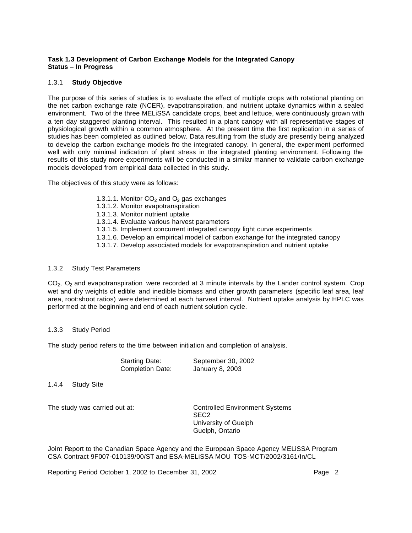# **Task 1.3 Development of Carbon Exchange Models for the Integrated Canopy Status – In Progress**

## 1.3.1 **Study Objective**

The purpose of this series of studies is to evaluate the effect of multiple crops with rotational planting on the net carbon exchange rate (NCER), evapotranspiration, and nutrient uptake dynamics within a sealed environment. Two of the three MELiSSA candidate crops, beet and lettuce, were continuously grown with a ten day staggered planting interval. This resulted in a plant canopy with all representative stages of physiological growth within a common atmosphere. At the present time the first replication in a series of studies has been completed as outlined below. Data resulting from the study are presently being analyzed to develop the carbon exchange models fro the integrated canopy. In general, the experiment performed well with only minimal indication of plant stress in the integrated planting environment. Following the results of this study more experiments will be conducted in a similar manner to validate carbon exchange models developed from empirical data collected in this study.

The objectives of this study were as follows:

- 1.3.1.1. Monitor  $CO<sub>2</sub>$  and  $O<sub>2</sub>$  gas exchanges
- 1.3.1.2. Monitor evapotranspiration
- 1.3.1.3. Monitor nutrient uptake
- 1.3.1.4. Evaluate various harvest parameters
- 1.3.1.5. Implement concurrent integrated canopy light curve experiments
- 1.3.1.6. Develop an empirical model of carbon exchange for the integrated canopy
- 1.3.1.7. Develop associated models for evapotranspiration and nutrient uptake

# 1.3.2 Study Test Parameters

 $CO<sub>2</sub>$ ,  $O<sub>2</sub>$  and evapotranspiration were recorded at 3 minute intervals by the Lander control system. Crop wet and dry weights of edible and inedible biomass and other growth parameters (specific leaf area, leaf area, root:shoot ratios) were determined at each harvest interval. Nutrient uptake analysis by HPLC was performed at the beginning and end of each nutrient solution cycle.

## 1.3.3 Study Period

The study period refers to the time between initiation and completion of analysis.

| <b>Starting Date:</b>   | September 30, 2002 |
|-------------------------|--------------------|
| <b>Completion Date:</b> | January 8, 2003    |

1.4.4 Study Site

The study was carried out at: Controlled Environment Systems SEC2 University of Guelph Guelph, Ontario

Joint Report to the Canadian Space Agency and the European Space Agency MELiSSA Program CSA Contract 9F007-010139/00/ST and ESA-MELiSSA MOU TOS-MCT/2002/3161/In/CL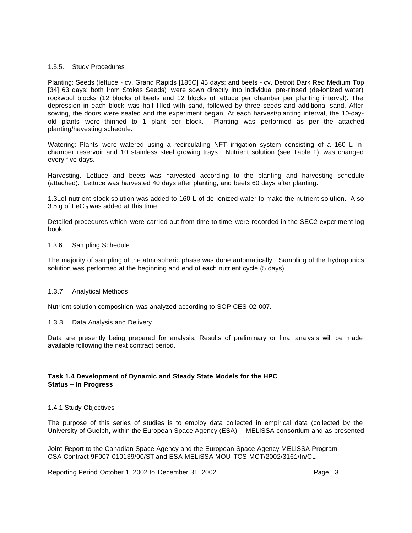#### 1.5.5. Study Procedures

Planting: Seeds (lettuce - cv. Grand Rapids [185C] 45 days; and beets - cv. Detroit Dark Red Medium Top [34] 63 days; both from Stokes Seeds) were sown directly into individual pre-rinsed (de-ionized water) rockwool blocks (12 blocks of beets and 12 blocks of lettuce per chamber per planting interval). The depression in each block was half filled with sand, followed by three seeds and additional sand. After sowing, the doors were sealed and the experiment began. At each harvest/planting interval, the 10-dayold plants were thinned to 1 plant per block. Planting was performed as per the attached planting/havesting schedule.

Watering: Plants were watered using a recirculating NFT irrigation system consisting of a 160 L inchamber reservoir and 10 stainless steel growing trays. Nutrient solution (see Table 1) was changed every five days.

Harvesting. Lettuce and beets was harvested according to the planting and harvesting schedule (attached). Lettuce was harvested 40 days after planting, and beets 60 days after planting.

1.3Lof nutrient stock solution was added to 160 L of de-ionized water to make the nutrient solution. Also 3.5 g of  $FeCl<sub>3</sub>$  was added at this time.

Detailed procedures which were carried out from time to time were recorded in the SEC2 experiment log book.

#### 1.3.6. Sampling Schedule

The majority of sampling of the atmospheric phase was done automatically. Sampling of the hydroponics solution was performed at the beginning and end of each nutrient cycle (5 days).

## 1.3.7 Analytical Methods

Nutrient solution composition was analyzed according to SOP CES-02-007.

#### 1.3.8 Data Analysis and Delivery

Data are presently being prepared for analysis. Results of preliminary or final analysis will be made available following the next contract period.

## **Task 1.4 Development of Dynamic and Steady State Models for the HPC Status – In Progress**

## 1.4.1 Study Objectives

The purpose of this series of studies is to employ data collected in empirical data (collected by the University of Guelph, within the European Space Agency (ESA) – MELiSSA consortium and as presented

Joint Report to the Canadian Space Agency and the European Space Agency MELiSSA Program CSA Contract 9F007-010139/00/ST and ESA-MELiSSA MOU TOS-MCT/2002/3161/In/CL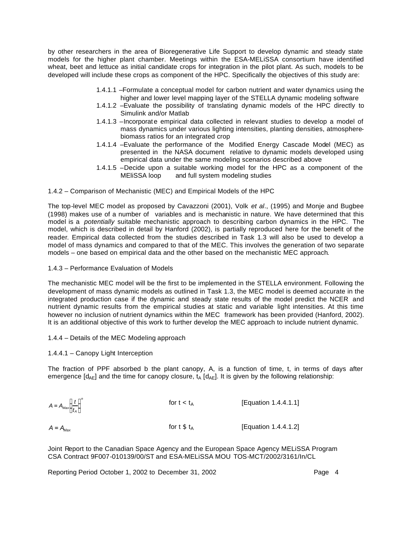by other researchers in the area of Bioregenerative Life Support to develop dynamic and steady state models for the higher plant chamber. Meetings within the ESA-MELiSSA consortium have identified wheat, beet and lettuce as initial candidate crops for integration in the pilot plant. As such, models to be developed will include these crops as component of the HPC. Specifically the objectives of this study are:

- 1.4.1.1 –Formulate a conceptual model for carbon nutrient and water dynamics using the higher and lower level mapping layer of the STELLA dynamic modeling software
- 1.4.1.2 –Evaluate the possibility of translating dynamic models of the HPC directly to Simulink and/or Matlab
- 1.4.1.3 –Incorporat e empirical data collected in relevant studies to develop a model of mass dynamics under various lighting intensities, planting densities, atmospherebiomass ratios for an integrated crop
- 1.4.1.4 –Evaluate the performance of the Modified Energy Cascade Model (MEC) as presented in the NASA document relative to dynamic models developed using empirical data under the same modeling scenarios described above
- 1.4.1.5 –Decide upon a suitable working model for the HPC as a component of the MEliSSA loop and full system modeling studies

1.4.2 – Comparison of Mechanistic (MEC) and Empirical Models of the HPC

The top-level MEC model as proposed by Cavazzoni (2001), Volk *et al*., (1995) and Monje and Bugbee (1998) makes use of a number of variables and is mechanistic in nature. We have determined that this model is a *potentially* suitable mechanistic approach to describing carbon dynamics in the HPC. The model, which is described in detail by Hanford (2002), is partially reproduced here for the benefit of the reader. Empirical data collected from the studies described in Task 1.3 will also be used to develop a model of mass dynamics and compared to that of the MEC. This involves the generation of two separate models – one based on empirical data and the other based on the mechanistic MEC approach.

1.4.3 – Performance Evaluation of Models

The mechanistic MEC model will be the first to be implemented in the STELLA environment. Following the development of mass dynamic models as outlined in Task 1.3, the MEC model is deemed accurate in the integrated production case if the dynamic and steady state results of the model predict the NCER and nutrient dynamic results from the empirical studies at static and variable light intensities. At this time however no inclusion of nutrient dynamics within the MEC framework has been provided (Hanford, 2002). It is an additional objective of this work to further develop the MEC approach to include nutrient dynamic.

- 1.4.4 Details of the MEC Modeling approach
- 1.4.4.1 Canopy Light Interception

The fraction of PPF absorbed b the plant canopy, A, is a function of time, t, in terms of days after emergence  $[d_{AF}]$  and the time for canopy closure,  $t_A [d_{AF}]$ . It is given by the following relationship:

$$
A = A_{\text{Max}} \left(\frac{t}{t_A}\right)^n
$$
 for  $t < t_A$  [Equation 1.4.4.1.1]  

$$
A = A_{\text{Max}}
$$
 [Equation 1.4.4.1.2]

Joint Report to the Canadian Space Agency and the European Space Agency MELiSSA Program CSA Contract 9F007-010139/00/ST and ESA-MELiSSA MOU TOS-MCT/2002/3161/In/CL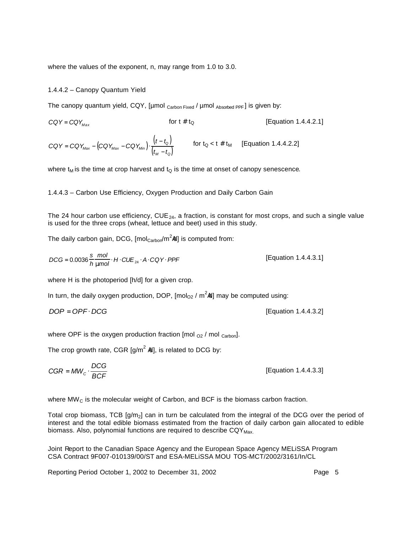where the values of the exponent, n, may range from 1.0 to 3.0.

#### 1.4.4.2 – Canopy Quantum Yield

The canopy quantum yield, CQY, [µmol  $_{\text{Carbon Fixed}}$  / µmol  $_{\text{Absorbed PPF}}$ ] is given by:

 $CQY = CQY_{\text{Max}}$  for t # t<sub>Q</sub> [Equation 1.4.4.2.1]

$$
CQY = CQY_{\text{Max}} - (CQY_{\text{Max}} - CQY_{\text{Min}}) \cdot \frac{(t - t_0)}{(t_M - t_0)}
$$
 for  $t_Q < t \# t_M$  [Equation 1.4.4.2.2]

where  $t_M$  is the time at crop harvest and  $t_Q$  is the time at onset of canopy senescence.

## 1.4.4.3 – Carbon Use Efficiency, Oxygen Production and Daily Carbon Gain

The 24 hour carbon use efficiency, CUE<sub>24</sub>, a fraction, is constant for most crops, and such a single value is used for the three crops (wheat, lettuce and beet) used in this study.

The daily carbon gain, DCG, [mol $_{\mathsf{Carbor}}$ /m<sup>2</sup>ld] is computed from:

$$
DCG = 0.0036 \frac{\text{s}}{h} \frac{\text{mol}}{\text{mmol}} \cdot H \cdot CUE_{24} \cdot A \cdot CQY \cdot PPF
$$
 [Equation 1.4.4.3.1]

where H is the photoperiod [h/d] for a given crop.

In turn, the daily oxygen production, DOP, [mol<sub>O2</sub> / m<sup>2</sup>ld] may be computed using:

$$
DOP = OPF \cdot DCG
$$

where OPF is the oxygen production fraction [mol  $_{O2}$  / mol  $_{\text{Carbon}}$ ].

The crop growth rate, CGR [g/m<sup>2</sup> ld], is related to DCG by:

$$
CGR = MW_c \cdot \frac{DCG}{BCF}
$$
 [Equation 1.4.4.3.3]

where  $MW<sub>C</sub>$  is the molecular weight of Carbon, and BCF is the biomass carbon fraction.

Total crop biomass, TCB  $[q/m<sub>2</sub>]$  can in turn be calculated from the integral of the DCG over the period of interest and the total edible biomass estimated from the fraction of daily carbon gain allocated to edible biomass. Also, polynomial functions are required to describe  $CQY_{\text{Max}}$ 

Joint Report to the Canadian Space Agency and the European Space Agency MELiSSA Program CSA Contract 9F007-010139/00/ST and ESA-MELiSSA MOU TOS-MCT/2002/3161/In/CL

Reporting Period October 1, 2002 to December 31, 2002 **Page 5** 

*DOP* = *OPF* ⋅ *DCG* [Equation 1.4.4.3.2]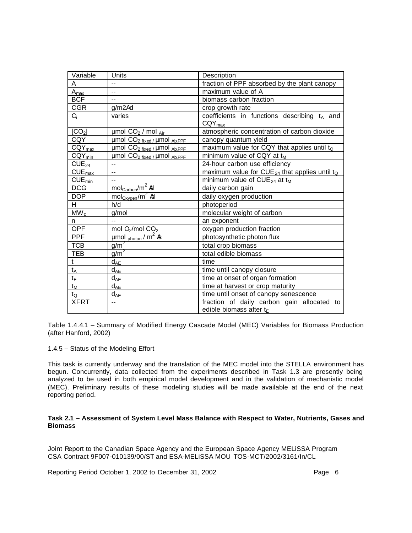| Variable                      | Units                                                   | Description                                                              |
|-------------------------------|---------------------------------------------------------|--------------------------------------------------------------------------|
| A                             | $\overline{\phantom{0}}$                                | fraction of PPF absorbed by the plant canopy                             |
| $A_{\underline{max}}$         | $\overline{a}$                                          | maximum value of A                                                       |
| <b>BCF</b>                    | $\overline{a}$                                          | biomass carbon fraction                                                  |
| CGR                           | $g/m2l$ <sub>d</sub>                                    | crop growth rate                                                         |
| $C_i$                         | varies                                                  | coefficients in functions describing $t_A$ and<br>$CQY_{max}$            |
| [CO <sub>2</sub> ]            | umol $CO2$ / mol $_{Air}$                               | atmospheric concentration of carbon dioxide                              |
| <b>CQY</b>                    | $\mu$ mol CO <sub>2 fixed</sub> / $\mu$ mol $_{Ab.PPF}$ | canopy quantum yield                                                     |
| $\overline{C}QY_{\text{max}}$ | $\mu$ mol $CO_{2$ fixed / $\mu$ mol $_{Ab.PPF}$         | maximum value for CQY that applies until to                              |
| $CQY_{min}$                   | $\mu$ mol CO <sub>2 fixed</sub> / $\mu$ mol $_{Ab.PPF}$ | minimum value of CQY at t <sub>M</sub>                                   |
| $CUE_{24}$                    | $\overline{a}$                                          | 24-hour carbon use efficiency                                            |
| $CUE_{max}$                   | $\overline{\phantom{a}}$                                | maximum value for CUE <sub>24</sub> that applies until t <sub>Q</sub>    |
| $CUE_{min}$                   | $\overline{\phantom{0}}$                                | minimum value of $CUE_{24}$ at t <sub>M</sub>                            |
| <b>DCG</b>                    | $mol$ Carbon/ $m^2$ Ad                                  | daily carbon gain                                                        |
| <b>DOP</b>                    | $mol_{Oxygen}/m^2$ Ad                                   | daily oxygen production                                                  |
| H.                            | h/d                                                     | photoperiod                                                              |
| $\overline{\text{MW}}_{c}$    | g/mol                                                   | molecular weight of carbon                                               |
| n.                            |                                                         | an exponent                                                              |
| <b>OPF</b>                    | mol O <sub>2</sub> /mol CO <sub>2</sub>                 | oxygen production fraction                                               |
| <b>PPF</b>                    | $\mu$ mol $_{photon}$ / m <sup>2</sup> ks               | photosynthetic photon flux                                               |
| <b>TCB</b>                    | $\frac{g}{m^2}$                                         | total crop biomass                                                       |
| <b>TEB</b>                    | $g/m^2$                                                 | total edible biomass                                                     |
| t                             | $d_{AE}$                                                | time                                                                     |
| $t_{\mathsf{A}}$              | $d_{AE}$                                                | time until canopy closure                                                |
| $t_{E}$                       | $d_{AE}$                                                | time at onset of organ formation                                         |
| $t_M$                         | $d_{AE}$                                                | time at harvest or crop maturity                                         |
| $t_{\rm Q}$                   | $d_{AE}$                                                | time until onset of canopy senescence                                    |
| <b>XFRT</b>                   | $\overline{\phantom{0}}$                                | fraction of daily carbon gain allocated to<br>edible biomass after $t_F$ |

Table 1.4.4.1 – Summary of Modified Energy Cascade Model (MEC) Variables for Biomass Production (after Hanford, 2002)

1.4.5 – Status of the Modeling Effort

This task is currently underway and the translation of the MEC model into the STELLA environment has begun. Concurrently, data collected from the experiments described in Task 1.3 are presently being analyzed to be used in both empirical model development and in the validation of mechanistic model (MEC). Preliminary results of these modeling studies will be made available at the end of the next reporting period.

## **Task 2.1 – Assessment of System Level Mass Balance with Respect to Water, Nutrients, Gases and Biomass**

Joint Report to the Canadian Space Agency and the European Space Agency MELiSSA Program CSA Contract 9F007-010139/00/ST and ESA-MELiSSA MOU TOS-MCT/2002/3161/In/CL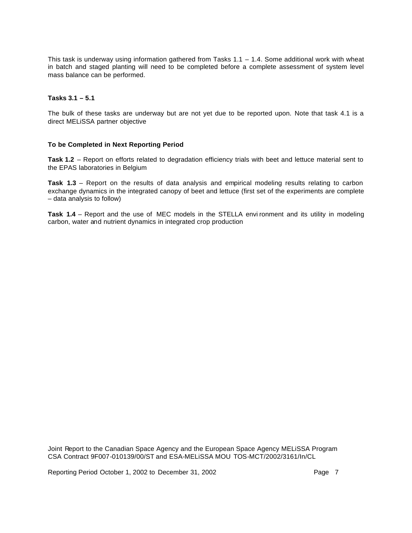This task is underway using information gathered from Tasks 1.1 – 1.4. Some additional work with wheat in batch and staged planting will need to be completed before a complete assessment of system level mass balance can be performed.

#### **Tasks 3.1 – 5.1**

The bulk of these tasks are underway but are not yet due to be reported upon. Note that task 4.1 is a direct MELiSSA partner objective

#### **To be Completed in Next Reporting Period**

**Task 1.2** – Report on efforts related to degradation efficiency trials with beet and lettuce material sent to the EPAS laboratories in Belgium

**Task 1.3** – Report on the results of data analysis and empirical modeling results relating to carbon exchange dynamics in the integrated canopy of beet and lettuce (first set of the experiments are complete – data analysis to follow)

**Task 1.4** – Report and the use of MEC models in the STELLA envi ronment and its utility in modeling carbon, water and nutrient dynamics in integrated crop production

Joint Report to the Canadian Space Agency and the European Space Agency MELiSSA Program CSA Contract 9F007-010139/00/ST and ESA-MELiSSA MOU TOS-MCT/2002/3161/In/CL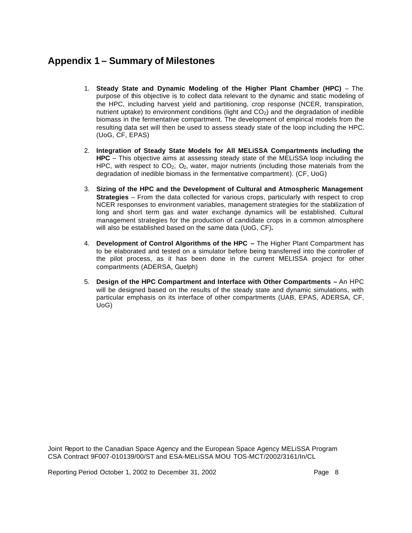# **Appendix 1 – Summary of Milestones**

- 1. **Steady State and Dynamic Modeling of the Higher Plant Chamber (HPC)** The purpose of this objective is to collect data relevant to the dynamic and static modeling of the HPC, including harvest yield and partitioning, crop response (NCER, transpiration, nutrient uptake) to environment conditions (light and  $CO<sub>2</sub>$ ) and the degradation of inedible biomass in the fermentative compartment. The development of empirical models from the resulting data set will then be used to assess steady state of the loop including the HPC. (UoG, CF, EPAS)
- 2. **Integration of Steady State Models for All MELiSSA Compartments including the HPC** – This objective aims at assessing steady state of the MELiSSA loop including the HPC, with respect to  $CO<sub>2</sub>$ ,  $O<sub>2</sub>$ , water, major nutrients (including those materials from the degradation of inedible biomass in the fermentative compartment). (CF, UoG)
- 3. **Sizing of the HPC and the Development of Cultural and Atmospheric Management Strategies** – From the data collected for various crops, particularly with respect to crop NCER responses to environment variables, management strategies for the stabilization of long and short term gas and water exchange dynamics will be established. Cultural management strategies for the production of candidate crops in a common atmosphere will also be established based on the same data (UoG, CF)**.**
- 4. **Development of Control Algorithms of the HPC –** The Higher Plant Compartment has to be elaborated and tested on a simulator before being transferred into the controller of the pilot process, as it has been done in the current MELISSA project for other compartments (ADERSA, Guelph)
- 5. **Design of the HPC Compartment and Interface with Other Compartments –** An HPC will be designed based on the results of the steady state and dynamic simulations, with particular emphasis on its interface of other compartments (UAB, EPAS, ADERSA, CF, UoG)

Joint Report to the Canadian Space Agency and the European Space Agency MELiSSA Program CSA Contract 9F007-010139/00/ST and ESA-MELiSSA MOU TOS-MCT/2002/3161/In/CL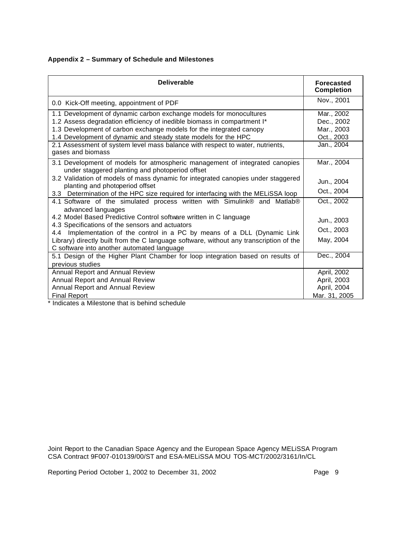| Appendix 2 - Summary of Schedule and Milestones |
|-------------------------------------------------|
|-------------------------------------------------|

| <b>Deliverable</b>                                                                                                                   | <b>Forecasted</b><br><b>Completion</b> |  |  |
|--------------------------------------------------------------------------------------------------------------------------------------|----------------------------------------|--|--|
| 0.0 Kick-Off meeting, appointment of PDF                                                                                             | Nov., 2001                             |  |  |
| 1.1 Development of dynamic carbon exchange models for monocultures                                                                   | Mar., 2002                             |  |  |
| 1.2 Assess degradation efficiency of inedible biomass in compartment I*                                                              | Dec., 2002                             |  |  |
| 1.3 Development of carbon exchange models for the integrated canopy                                                                  | Mar., 2003                             |  |  |
| 1.4 Development of dynamic and steady state models for the HPC                                                                       | Oct., 2003                             |  |  |
| 2.1 Assessment of system level mass balance with respect to water, nutrients,<br>gases and biomass                                   | Jan., 2004                             |  |  |
| 3.1 Development of models for atmospheric management of integrated canopies<br>under staggered planting and photoperiod offset       | Mar., 2004                             |  |  |
| 3.2 Validation of models of mass dynamic for integrated canopies under staggered<br>planting and photoperiod offset                  | Jun., 2004                             |  |  |
| 3.3 Determination of the HPC size required for interfacing with the MELISSA loop                                                     | Oct., 2004                             |  |  |
| 4.1 Software of the simulated process written with Simulink® and Matlab®<br>advanced languages                                       | Oct., 2002                             |  |  |
| 4.2 Model Based Predictive Control software written in C language<br>4.3 Specifications of the sensors and actuators                 | Jun., 2003                             |  |  |
| 4.4 Implementation of the control in a PC by means of a DLL (Dynamic Link                                                            | Oct., 2003                             |  |  |
| Library) directly built from the C language software, without any transcription of the<br>C software into another automated language | May, 2004                              |  |  |
| 5.1 Design of the Higher Plant Chamber for loop integration based on results of                                                      | Dec., 2004                             |  |  |
| previous studies                                                                                                                     |                                        |  |  |
| Annual Report and Annual Review                                                                                                      | April, 2002                            |  |  |
| Annual Report and Annual Review                                                                                                      | April, 2003                            |  |  |
| Annual Report and Annual Review                                                                                                      | April, 2004                            |  |  |
| <b>Final Report</b>                                                                                                                  | Mar. 31, 2005                          |  |  |

\* Indicates a Milestone that is behind schedule

Joint Report to the Canadian Space Agency and the European Space Agency MELiSSA Program CSA Contract 9F007-010139/00/ST and ESA-MELiSSA MOU TOS-MCT/2002/3161/In/CL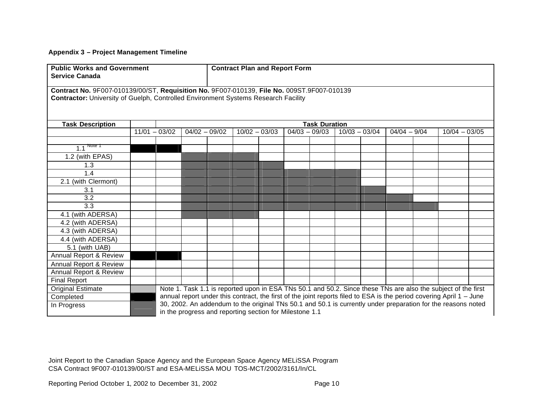# **Appendix 3 – Project Management Timeline**

| <b>Public Works and Government</b><br><b>Service Canada</b>                                                                                                                             |  |                                                                                                              |                 | <b>Contract Plan and Report Form</b> |  |                 |  |  |                 |                |  |                 |                                                                                                                      |  |
|-----------------------------------------------------------------------------------------------------------------------------------------------------------------------------------------|--|--------------------------------------------------------------------------------------------------------------|-----------------|--------------------------------------|--|-----------------|--|--|-----------------|----------------|--|-----------------|----------------------------------------------------------------------------------------------------------------------|--|
| Contract No. 9F007-010139/00/ST, Requisition No. 9F007-010139, File No. 009ST.9F007-010139<br><b>Contractor:</b> University of Guelph, Controlled Environment Systems Research Facility |  |                                                                                                              |                 |                                      |  |                 |  |  |                 |                |  |                 |                                                                                                                      |  |
| <b>Task Description</b>                                                                                                                                                                 |  | <b>Task Duration</b>                                                                                         |                 |                                      |  |                 |  |  |                 |                |  |                 |                                                                                                                      |  |
|                                                                                                                                                                                         |  | $11/01 - 03/02$                                                                                              | $04/02 - 09/02$ | $10/02 - 03/03$                      |  | $04/03 - 09/03$ |  |  | $10/03 - 03/04$ | $04/04 - 9/04$ |  | $10/04 - 03/05$ |                                                                                                                      |  |
|                                                                                                                                                                                         |  |                                                                                                              |                 |                                      |  |                 |  |  |                 |                |  |                 |                                                                                                                      |  |
| $1.1$ Note 1                                                                                                                                                                            |  |                                                                                                              |                 |                                      |  |                 |  |  |                 |                |  |                 |                                                                                                                      |  |
| 1.2 (with EPAS)                                                                                                                                                                         |  |                                                                                                              |                 |                                      |  |                 |  |  |                 |                |  |                 |                                                                                                                      |  |
| 1.3                                                                                                                                                                                     |  |                                                                                                              |                 |                                      |  |                 |  |  |                 |                |  |                 |                                                                                                                      |  |
| 1.4                                                                                                                                                                                     |  |                                                                                                              |                 |                                      |  |                 |  |  |                 |                |  |                 |                                                                                                                      |  |
| 2.1 (with Clermont)                                                                                                                                                                     |  |                                                                                                              |                 |                                      |  |                 |  |  |                 |                |  |                 |                                                                                                                      |  |
| 3.1                                                                                                                                                                                     |  |                                                                                                              |                 |                                      |  |                 |  |  |                 |                |  |                 |                                                                                                                      |  |
| 3.2                                                                                                                                                                                     |  |                                                                                                              |                 |                                      |  |                 |  |  |                 |                |  |                 |                                                                                                                      |  |
| 3.3                                                                                                                                                                                     |  |                                                                                                              |                 |                                      |  |                 |  |  |                 |                |  |                 |                                                                                                                      |  |
| 4.1 (with ADERSA)                                                                                                                                                                       |  |                                                                                                              |                 |                                      |  |                 |  |  |                 |                |  |                 |                                                                                                                      |  |
| 4.2 (with ADERSA)                                                                                                                                                                       |  |                                                                                                              |                 |                                      |  |                 |  |  |                 |                |  |                 |                                                                                                                      |  |
| 4.3 (with ADERSA)                                                                                                                                                                       |  |                                                                                                              |                 |                                      |  |                 |  |  |                 |                |  |                 |                                                                                                                      |  |
| 4.4 (with ADERSA)                                                                                                                                                                       |  |                                                                                                              |                 |                                      |  |                 |  |  |                 |                |  |                 |                                                                                                                      |  |
| 5.1 (with UAB)                                                                                                                                                                          |  |                                                                                                              |                 |                                      |  |                 |  |  |                 |                |  |                 |                                                                                                                      |  |
| Annual Report & Review                                                                                                                                                                  |  |                                                                                                              |                 |                                      |  |                 |  |  |                 |                |  |                 |                                                                                                                      |  |
| Annual Report & Review                                                                                                                                                                  |  |                                                                                                              |                 |                                      |  |                 |  |  |                 |                |  |                 |                                                                                                                      |  |
| Annual Report & Review                                                                                                                                                                  |  |                                                                                                              |                 |                                      |  |                 |  |  |                 |                |  |                 |                                                                                                                      |  |
| <b>Final Report</b>                                                                                                                                                                     |  |                                                                                                              |                 |                                      |  |                 |  |  |                 |                |  |                 |                                                                                                                      |  |
| <b>Original Estimate</b>                                                                                                                                                                |  |                                                                                                              |                 |                                      |  |                 |  |  |                 |                |  |                 | Note 1. Task 1.1 is reported upon in ESA TNs 50.1 and 50.2. Since these TNs are also the subject of the first        |  |
| Completed                                                                                                                                                                               |  |                                                                                                              |                 |                                      |  |                 |  |  |                 |                |  |                 | annual report under this contract, the first of the joint reports filed to ESA is the period covering April 1 - June |  |
| In Progress                                                                                                                                                                             |  | 30, 2002. An addendum to the original TNs 50.1 and 50.1 is currently under preparation for the reasons noted |                 |                                      |  |                 |  |  |                 |                |  |                 |                                                                                                                      |  |
|                                                                                                                                                                                         |  | in the progress and reporting section for Milestone 1.1                                                      |                 |                                      |  |                 |  |  |                 |                |  |                 |                                                                                                                      |  |

Joint Report to the Canadian Space Agency and the European Space Agency MELiSSA Program CSA Contract 9F007-010139/00/ST and ESA-MELiSSA MOU TOS-MCT/2002/3161/In/CL